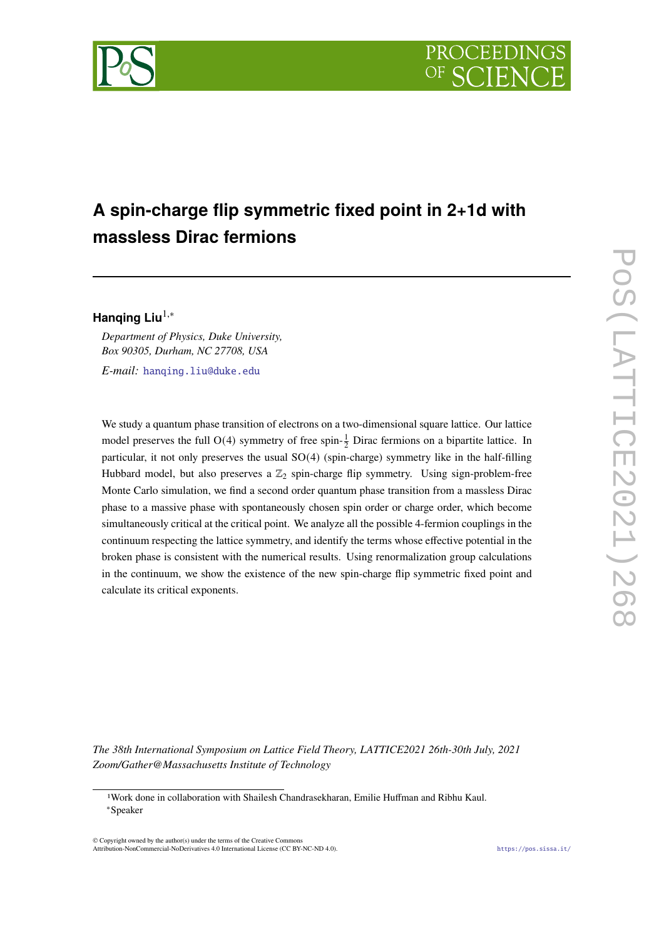

# **A spin-charge flip symmetric fixed point in 2+1d with massless Dirac fermions**

**Hanqing Liu**1,<sup>∗</sup>

*Department of Physics, Duke University, Box 90305, Durham, NC 27708, USA*

*E-mail:* [hanqing.liu@duke.edu](mailto:hanqing.liu@duke.edu)

We study a quantum phase transition of electrons on a two-dimensional square lattice. Our lattice model preserves the full O(4) symmetry of free spin- $\frac{1}{2}$  Dirac fermions on a bipartite lattice. In particular, it not only preserves the usual SO(4) (spin-charge) symmetry like in the half-filling Hubbard model, but also preserves a  $\mathbb{Z}_2$  spin-charge flip symmetry. Using sign-problem-free Monte Carlo simulation, we find a second order quantum phase transition from a massless Dirac phase to a massive phase with spontaneously chosen spin order or charge order, which become simultaneously critical at the critical point. We analyze all the possible 4-fermion couplings in the continuum respecting the lattice symmetry, and identify the terms whose effective potential in the broken phase is consistent with the numerical results. Using renormalization group calculations in the continuum, we show the existence of the new spin-charge flip symmetric fixed point and calculate its critical exponents.

*The 38th International Symposium on Lattice Field Theory, LATTICE2021 26th-30th July, 2021 Zoom/Gather@Massachusetts Institute of Technology*

© Copyright owned by the author(s) under the terms of the Creative Commons Attribution-NonCommercial-NoDerivatives 4.0 International License (CC BY-NC-ND 4.0). <https://pos.sissa.it/>

<sup>1</sup>Work done in collaboration with Shailesh Chandrasekharan, Emilie Huffman and Ribhu Kaul. <sup>∗</sup>Speaker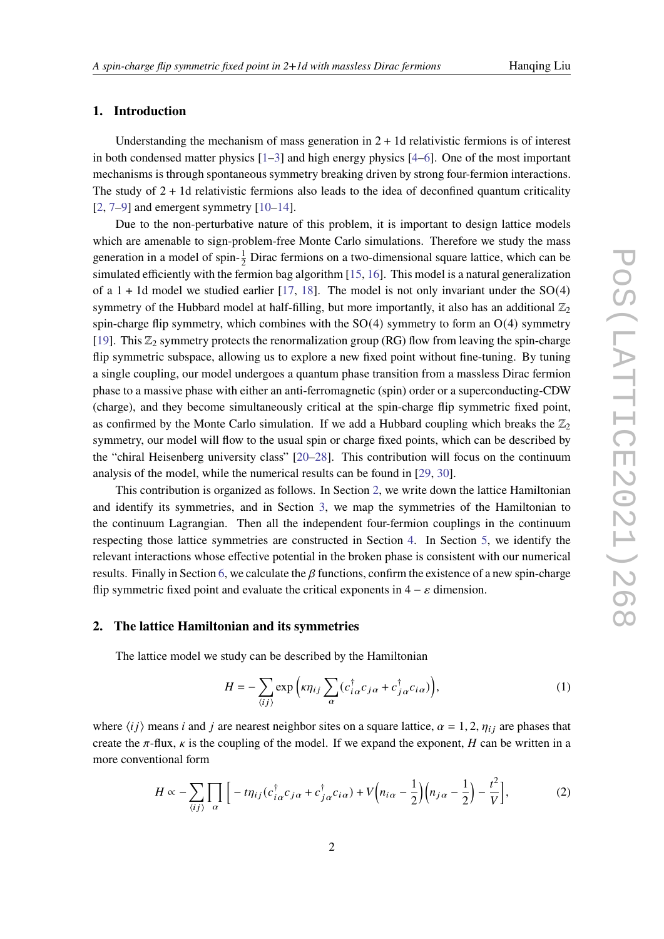# **1. Introduction**

Understanding the mechanism of mass generation in  $2 + 1d$  relativistic fermions is of interest in both condensed matter physics [\[1](#page-6-0)[–3\]](#page-6-1) and high energy physics [\[4](#page-7-0)[–6\]](#page-7-1). One of the most important mechanisms is through spontaneous symmetry breaking driven by strong four-fermion interactions. The study of  $2 + 1d$  relativistic fermions also leads to the idea of deconfined quantum criticality  $[2, 7-9]$  $[2, 7-9]$  $[2, 7-9]$  $[2, 7-9]$  and emergent symmetry  $[10-14]$  $[10-14]$ .

Due to the non-perturbative nature of this problem, it is important to design lattice models which are amenable to sign-problem-free Monte Carlo simulations. Therefore we study the mass generation in a model of spin- $\frac{1}{2}$  Dirac fermions on a two-dimensional square lattice, which can be simulated efficiently with the fermion bag algorithm [\[15,](#page-7-6) [16\]](#page-7-7). This model is a natural generalization of a  $1 + 1d$  model we studied earlier [\[17,](#page-7-8) [18\]](#page-7-9). The model is not only invariant under the SO(4) symmetry of the Hubbard model at half-filling, but more importantly, it also has an additional  $\mathbb{Z}_2$ spin-charge flip symmetry, which combines with the  $SO(4)$  symmetry to form an  $O(4)$  symmetry [\[19\]](#page-8-0). This  $\mathbb{Z}_2$  symmetry protects the renormalization group (RG) flow from leaving the spin-charge flip symmetric subspace, allowing us to explore a new fixed point without fine-tuning. By tuning a single coupling, our model undergoes a quantum phase transition from a massless Dirac fermion phase to a massive phase with either an anti-ferromagnetic (spin) order or a superconducting-CDW (charge), and they become simultaneously critical at the spin-charge flip symmetric fixed point, as confirmed by the Monte Carlo simulation. If we add a Hubbard coupling which breaks the  $\mathbb{Z}_2$ symmetry, our model will flow to the usual spin or charge fixed points, which can be described by the "chiral Heisenberg university class" [\[20–](#page-8-1)[28\]](#page-8-2). This contribution will focus on the continuum analysis of the model, while the numerical results can be found in [\[29,](#page-8-3) [30\]](#page-8-4).

This contribution is organized as follows. In Section [2,](#page-1-0) we write down the lattice Hamiltonian and identify its symmetries, and in Section [3,](#page-2-0) we map the symmetries of the Hamiltonian to the continuum Lagrangian. Then all the independent four-fermion couplings in the continuum respecting those lattice symmetries are constructed in Section [4.](#page-3-0) In Section [5,](#page-4-0) we identify the relevant interactions whose effective potential in the broken phase is consistent with our numerical results. Finally in Section [6,](#page-4-1) we calculate the  $\beta$  functions, confirm the existence of a new spin-charge flip symmetric fixed point and evaluate the critical exponents in  $4 - \varepsilon$  dimension.

## <span id="page-1-0"></span>**2. The lattice Hamiltonian and its symmetries**

The lattice model we study can be described by the Hamiltonian

<span id="page-1-2"></span><span id="page-1-1"></span>
$$
H = -\sum_{\langle ij \rangle} \exp\left(\kappa \eta_{ij} \sum_{\alpha} (c_{i\alpha}^{\dagger} c_{j\alpha} + c_{j\alpha}^{\dagger} c_{i\alpha})\right),\tag{1}
$$

where  $\langle ij \rangle$  means *i* and *j* are nearest neighbor sites on a square lattice,  $\alpha = 1, 2, \eta_{ij}$  are phases that create the  $\pi$ -flux,  $\kappa$  is the coupling of the model. If we expand the exponent, H can be written in a more conventional form

$$
H \propto -\sum_{\langle ij \rangle} \prod_{\alpha} \Big[ -t \eta_{ij} (c_{i\alpha}^{\dagger} c_{j\alpha} + c_{j\alpha}^{\dagger} c_{i\alpha}) + V \Big( n_{i\alpha} - \frac{1}{2} \Big) \Big( n_{j\alpha} - \frac{1}{2} \Big) - \frac{t^2}{V} \Big], \tag{2}
$$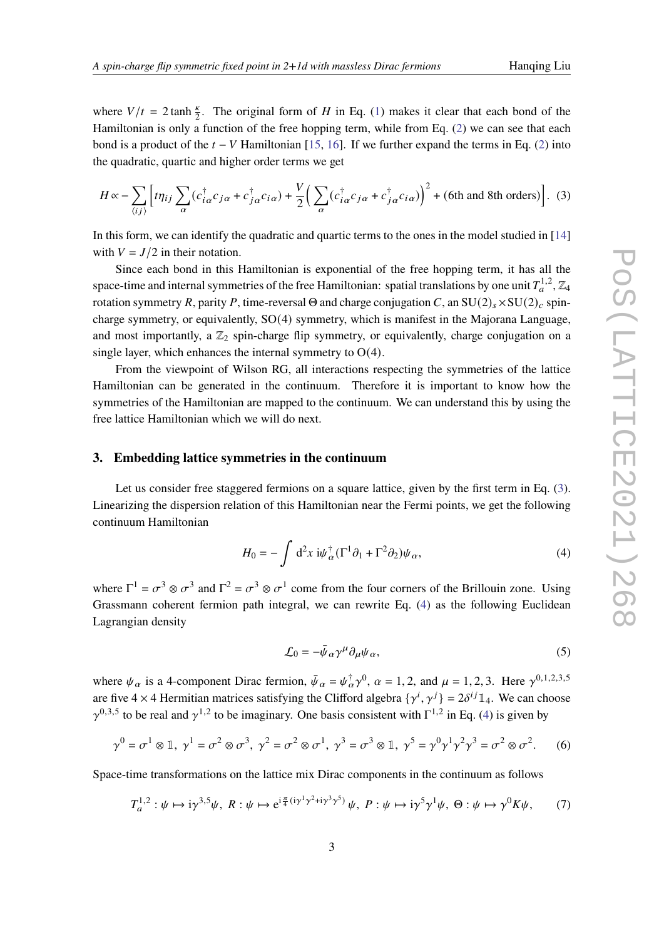where  $V/t = 2 \tanh \frac{\kappa}{2}$ . The original form of H in Eq. [\(1\)](#page-1-1) makes it clear that each bond of the Hamiltonian is only a function of the free hopping term, while from Eq. [\(2\)](#page-1-2) we can see that each bond is a product of the  $t - V$  Hamiltonian [\[15,](#page-7-6) [16\]](#page-7-7). If we further expand the terms in Eq. [\(2\)](#page-1-2) into the quadratic, quartic and higher order terms we get

<span id="page-2-1"></span>
$$
H \propto -\sum_{\langle ij \rangle} \left[ t \eta_{ij} \sum_{\alpha} (c_{i\alpha}^{\dagger} c_{j\alpha} + c_{j\alpha}^{\dagger} c_{i\alpha}) + \frac{V}{2} \left( \sum_{\alpha} (c_{i\alpha}^{\dagger} c_{j\alpha} + c_{j\alpha}^{\dagger} c_{i\alpha}) \right)^2 + (6 \text{th and 8th orders}) \right].
$$
 (3)

In this form, we can identify the quadratic and quartic terms to the ones in the model studied in [\[14\]](#page-7-5) with  $V = J/2$  in their notation.

Since each bond in this Hamiltonian is exponential of the free hopping term, it has all the space-time and internal symmetries of the free Hamiltonian: spatial translations by one unit  $T_a^{1,2}, \mathbb{Z}_4$ rotation symmetry R, parity P, time-reversal Θ and charge conjugation C, an  $SU(2)_{s} \times SU(2)_{c}$  spincharge symmetry, or equivalently, SO(4) symmetry, which is manifest in the Majorana Language, and most importantly, a  $\mathbb{Z}_2$  spin-charge flip symmetry, or equivalently, charge conjugation on a single layer, which enhances the internal symmetry to  $O(4)$ .

From the viewpoint of Wilson RG, all interactions respecting the symmetries of the lattice Hamiltonian can be generated in the continuum. Therefore it is important to know how the symmetries of the Hamiltonian are mapped to the continuum. We can understand this by using the free lattice Hamiltonian which we will do next.

# <span id="page-2-0"></span>**3. Embedding lattice symmetries in the continuum**

Let us consider free staggered fermions on a square lattice, given by the first term in Eq. [\(3\)](#page-2-1). Linearizing the dispersion relation of this Hamiltonian near the Fermi points, we get the following continuum Hamiltonian

$$
H_0 = -\int d^2x \, i\psi_\alpha^\dagger (\Gamma^1 \partial_1 + \Gamma^2 \partial_2) \psi_\alpha, \tag{4}
$$

where  $\Gamma^1 = \sigma^3 \otimes \sigma^3$  and  $\Gamma^2 = \sigma^3 \otimes \sigma^1$  come from the four corners of the Brillouin zone. Using Grassmann coherent fermion path integral, we can rewrite Eq. [\(4\)](#page-2-2) as the following Euclidean Lagrangian density

<span id="page-2-2"></span>
$$
\mathcal{L}_0 = -\bar{\psi}_{\alpha} \gamma^{\mu} \partial_{\mu} \psi_{\alpha},\tag{5}
$$

where  $\psi_{\alpha}$  is a 4-component Dirac fermion,  $\bar{\psi}_{\alpha} = \psi_{\alpha}^{\dagger} \gamma^{0}$ ,  $\alpha = 1, 2$ , and  $\mu = 1, 2, 3$ . Here  $\gamma^{0,1,2,3,5}$ are five  $4 \times 4$  Hermitian matrices satisfying the Clifford algebra  $\{\gamma^i, \gamma^j\} = 2\delta^{ij} \mathbb{1}_4$ . We can choose  $\gamma^{0,3,5}$  to be real and  $\gamma^{1,2}$  to be imaginary. One basis consistent with  $\Gamma^{1,2}$  in Eq. [\(4\)](#page-2-2) is given by

$$
\gamma^0 = \sigma^1 \otimes \mathbb{1}, \ \gamma^1 = \sigma^2 \otimes \sigma^3, \ \gamma^2 = \sigma^2 \otimes \sigma^1, \ \gamma^3 = \sigma^3 \otimes \mathbb{1}, \ \gamma^5 = \gamma^0 \gamma^1 \gamma^2 \gamma^3 = \sigma^2 \otimes \sigma^2. \tag{6}
$$

Space-time transformations on the lattice mix Dirac components in the continuum as follows

$$
T_a^{1,2}: \psi \mapsto i\gamma^{3,5}\psi, \ R: \psi \mapsto e^{i\frac{\pi}{4}(i\gamma^1\gamma^2 + i\gamma^3\gamma^5)}\psi, \ P: \psi \mapsto i\gamma^5\gamma^1\psi, \ \Theta: \psi \mapsto \gamma^0K\psi, \tag{7}
$$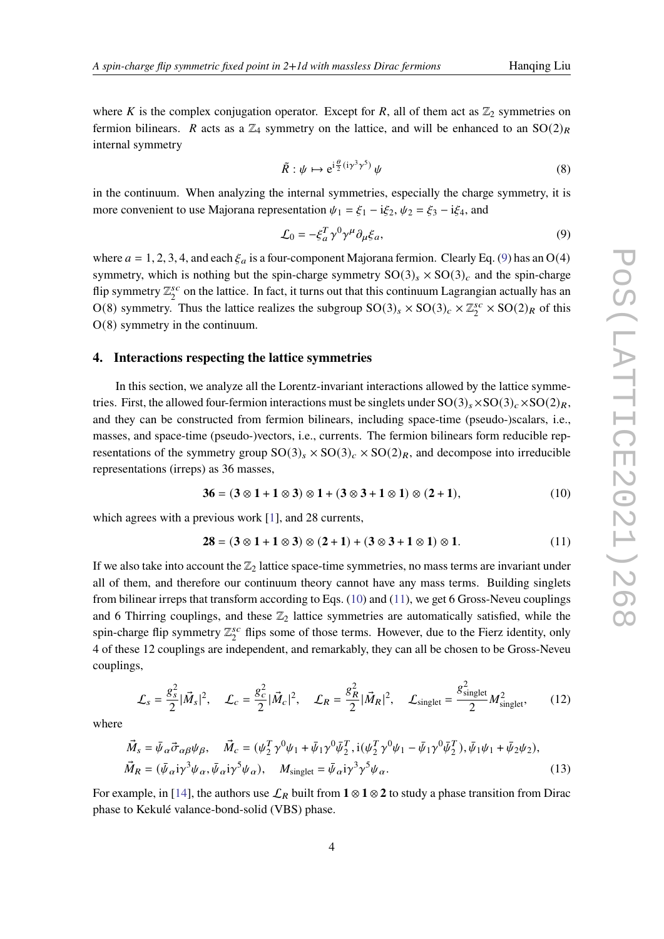where K is the complex conjugation operator. Except for R, all of them act as  $\mathbb{Z}_2$  symmetries on fermion bilinears. R acts as a  $\mathbb{Z}_4$  symmetry on the lattice, and will be enhanced to an  $SO(2)_R$ internal symmetry

$$
\tilde{R} : \psi \mapsto e^{i\frac{\theta}{2}(i\gamma^3\gamma^5)} \psi \tag{8}
$$

in the continuum. When analyzing the internal symmetries, especially the charge symmetry, it is more convenient to use Majorana representation  $\psi_1 = \xi_1 - i\xi_2$ ,  $\psi_2 = \xi_3 - i\xi_4$ , and

<span id="page-3-1"></span>
$$
\mathcal{L}_0 = -\xi_a^T \gamma^0 \gamma^\mu \partial_\mu \xi_a,\tag{9}
$$

where  $a = 1, 2, 3, 4$ , and each  $\xi_a$  is a four-component Majorana fermion. Clearly Eq. [\(9\)](#page-3-1) has an O(4) symmetry, which is nothing but the spin-charge symmetry  $SO(3)_s \times SO(3)_c$  and the spin-charge flip symmetry  $\mathbb{Z}_2^{sc}$  $_2^{sc}$  on the lattice. In fact, it turns out that this continuum Lagrangian actually has an O(8) symmetry. Thus the lattice realizes the subgroup  $SO(3)_s \times SO(3)_c \times \mathbb{Z}_2^{sc}$  $_{2}^{sc} \times SO(2)_R$  of this O(8) symmetry in the continuum.

### <span id="page-3-0"></span>**4. Interactions respecting the lattice symmetries**

In this section, we analyze all the Lorentz-invariant interactions allowed by the lattice symmetries. First, the allowed four-fermion interactions must be singlets under  $SO(3)_s \times SO(3)_c \times SO(2)_R$ , and they can be constructed from fermion bilinears, including space-time (pseudo-)scalars, i.e., masses, and space-time (pseudo-)vectors, i.e., currents. The fermion bilinears form reducible representations of the symmetry group  $SO(3)_s \times SO(3)_c \times SO(2)_R$ , and decompose into irreducible representations (irreps) as 36 masses,

<span id="page-3-2"></span>
$$
36 = (3 \otimes 1 + 1 \otimes 3) \otimes 1 + (3 \otimes 3 + 1 \otimes 1) \otimes (2 + 1),
$$
 (10)

which agrees with a previous work [\[1\]](#page-6-0), and 28 currents,

<span id="page-3-3"></span>
$$
28 = (3 \otimes 1 + 1 \otimes 3) \otimes (2 + 1) + (3 \otimes 3 + 1 \otimes 1) \otimes 1. \tag{11}
$$

If we also take into account the  $\mathbb{Z}_2$  lattice space-time symmetries, no mass terms are invariant under all of them, and therefore our continuum theory cannot have any mass terms. Building singlets from bilinear irreps that transform according to Eqs.  $(10)$  and  $(11)$ , we get 6 Gross-Neveu couplings and 6 Thirring couplings, and these  $\mathbb{Z}_2$  lattice symmetries are automatically satisfied, while the spin-charge flip symmetry  $\mathbb{Z}_2^{sc}$  $S_2^{sc}$  flips some of those terms. However, due to the Fierz identity, only 4 of these 12 couplings are independent, and remarkably, they can all be chosen to be Gross-Neveu couplings,

$$
\mathcal{L}_s = \frac{g_s^2}{2} |\vec{M}_s|^2, \quad \mathcal{L}_c = \frac{g_c^2}{2} |\vec{M}_c|^2, \quad \mathcal{L}_R = \frac{g_R^2}{2} |\vec{M}_R|^2, \quad \mathcal{L}_{singlet} = \frac{g_{singlet}^2}{2} M_{singlet}^2, \tag{12}
$$

where

$$
\vec{M}_s = \bar{\psi}_{\alpha} \vec{\sigma}_{\alpha\beta} \psi_{\beta}, \quad \vec{M}_c = (\psi_2^T \gamma^0 \psi_1 + \bar{\psi}_1 \gamma^0 \bar{\psi}_2^T, i(\psi_2^T \gamma^0 \psi_1 - \bar{\psi}_1 \gamma^0 \bar{\psi}_2^T), \bar{\psi}_1 \psi_1 + \bar{\psi}_2 \psi_2),
$$
  
\n
$$
\vec{M}_R = (\bar{\psi}_{\alpha} i \gamma^3 \psi_{\alpha}, \bar{\psi}_{\alpha} i \gamma^5 \psi_{\alpha}), \quad M_{\text{singlet}} = \bar{\psi}_{\alpha} i \gamma^3 \gamma^5 \psi_{\alpha}.
$$
\n(13)

For example, in [\[14\]](#page-7-5), the authors use  $\mathcal{L}_R$  built from  $\mathbf{1} \otimes \mathbf{1} \otimes \mathbf{2}$  to study a phase transition from Dirac phase to Kekulé valance-bond-solid (VBS) phase.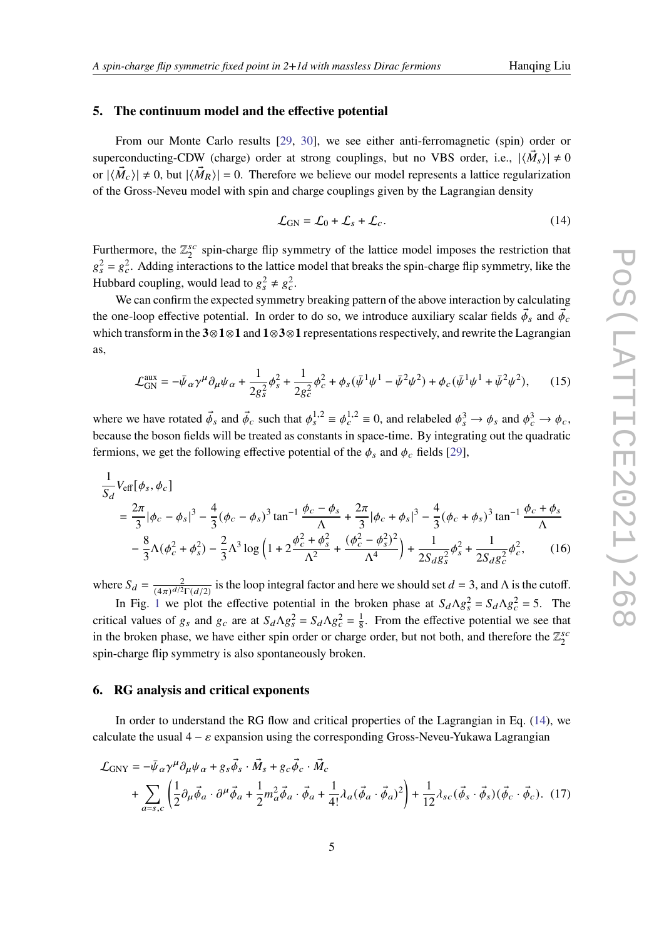### <span id="page-4-0"></span>**5. The continuum model and the effective potential**

From our Monte Carlo results [\[29,](#page-8-3) [30\]](#page-8-4), we see either anti-ferromagnetic (spin) order or superconducting-CDW (charge) order at strong couplings, but no VBS order, i.e.,  $|\langle \vec{M}_s \rangle| \neq 0$ or  $|\langle \vec{M}_c \rangle| \neq 0$ , but  $|\langle \vec{M}_R \rangle| = 0$ . Therefore we believe our model represents a lattice regularization of the Gross-Neveu model with spin and charge couplings given by the Lagrangian density

<span id="page-4-2"></span>
$$
\mathcal{L}_{GN} = \mathcal{L}_0 + \mathcal{L}_s + \mathcal{L}_c. \tag{14}
$$

Furthermore, the  $\mathbb{Z}_2^{sc}$  $_2^{sc}$  spin-charge flip symmetry of the lattice model imposes the restriction that  $g_s^2 = g_c^2$ . Adding interactions to the lattice model that breaks the spin-charge flip symmetry, like the Hubbard coupling, would lead to  $g_s^2 \neq g_c^2$ .

We can confirm the expected symmetry breaking pattern of the above interaction by calculating the one-loop effective potential. In order to do so, we introduce auxiliary scalar fields  $\vec{\phi}_s$  and  $\vec{\phi}_c$ which transform in the **3**⊗**1**⊗**1** and **1**⊗**3**⊗**1** representations respectively, and rewrite the Lagrangian as,

$$
\mathcal{L}_{\text{GN}}^{\text{aux}} = -\bar{\psi}_{\alpha} \gamma^{\mu} \partial_{\mu} \psi_{\alpha} + \frac{1}{2g_{s}^{2}} \phi_{s}^{2} + \frac{1}{2g_{c}^{2}} \phi_{c}^{2} + \phi_{s} (\bar{\psi}^{1} \psi^{1} - \bar{\psi}^{2} \psi^{2}) + \phi_{c} (\bar{\psi}^{1} \psi^{1} + \bar{\psi}^{2} \psi^{2}), \qquad (15)
$$

where we have rotated  $\vec{\phi}_s$  and  $\vec{\phi}_c$  such that  $\phi_s^{1,2} \equiv \phi_c^{1,2} \equiv 0$ , and relabeled  $\phi_s^3 \to \phi_s$  and  $\phi_c^3 \to \phi_c$ , because the boson fields will be treated as constants in space-time. By integrating out the quadratic fermions, we get the following effective potential of the  $\phi_s$  and  $\phi_c$  fields [\[29\]](#page-8-3),

$$
\frac{1}{S_d} V_{\text{eff}}[\phi_s, \phi_c]
$$
\n
$$
= \frac{2\pi}{3} |\phi_c - \phi_s|^3 - \frac{4}{3} (\phi_c - \phi_s)^3 \tan^{-1} \frac{\phi_c - \phi_s}{\Lambda} + \frac{2\pi}{3} |\phi_c + \phi_s|^3 - \frac{4}{3} (\phi_c + \phi_s)^3 \tan^{-1} \frac{\phi_c + \phi_s}{\Lambda}
$$
\n
$$
- \frac{8}{3} \Lambda (\phi_c^2 + \phi_s^2) - \frac{2}{3} \Lambda^3 \log \left(1 + 2 \frac{\phi_c^2 + \phi_s^2}{\Lambda^2} + \frac{(\phi_c^2 - \phi_s^2)^2}{\Lambda^4}\right) + \frac{1}{2S_d g_s^2} \phi_s^2 + \frac{1}{2S_d g_c^2} \phi_c^2, \qquad (16)
$$

where  $S_d = \frac{2}{(4\pi)^{d/2} \Gamma(d/2)}$  is the loop integral factor and here we should set  $d = 3$ , and  $\Lambda$  is the cutoff.

In Fig. [1](#page-5-0) we plot the effective potential in the broken phase at  $S_d \Lambda g_s^2 = S_d \Lambda g_c^2 = 5$ . The critical values of  $g_s$  and  $g_c$  are at  $S_d \Lambda g_s^2 = S_d \Lambda g_c^2 = \frac{1}{8}$  $\frac{1}{8}$ . From the effective potential we see that in the broken phase, we have either spin order or charge order, but not both, and therefore the  $\mathbb{Z}_2^{sc}$  $\overline{2}$ spin-charge flip symmetry is also spontaneously broken.

### <span id="page-4-1"></span>**6. RG analysis and critical exponents**

In order to understand the RG flow and critical properties of the Lagrangian in Eq. [\(14\)](#page-4-2), we calculate the usual  $4 - \varepsilon$  expansion using the corresponding Gross-Neveu-Yukawa Lagrangian

$$
\mathcal{L}_{\text{GNY}} = -\bar{\psi}_{\alpha} \gamma^{\mu} \partial_{\mu} \psi_{\alpha} + g_{s} \vec{\phi}_{s} \cdot \vec{M}_{s} + g_{c} \vec{\phi}_{c} \cdot \vec{M}_{c} \n+ \sum_{a=s,c} \left( \frac{1}{2} \partial_{\mu} \vec{\phi}_{a} \cdot \partial^{\mu} \vec{\phi}_{a} + \frac{1}{2} m_{a}^{2} \vec{\phi}_{a} \cdot \vec{\phi}_{a} + \frac{1}{4!} \lambda_{a} (\vec{\phi}_{a} \cdot \vec{\phi}_{a})^{2} \right) + \frac{1}{12} \lambda_{sc} (\vec{\phi}_{s} \cdot \vec{\phi}_{s}) (\vec{\phi}_{c} \cdot \vec{\phi}_{c}).
$$
 (17)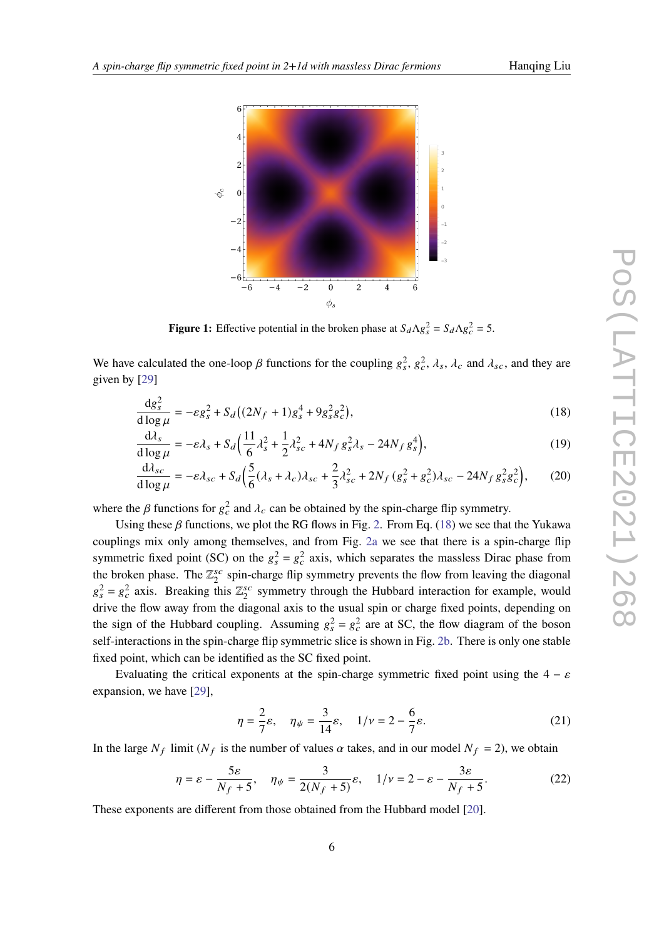<span id="page-5-0"></span>

<span id="page-5-1"></span>**Figure 1:** Effective potential in the broken phase at  $S_d \Lambda g_s^2 = S_d \Lambda g_c^2 = 5$ .

We have calculated the one-loop  $\beta$  functions for the coupling  $g_s^2$ ,  $g_c^2$ ,  $\lambda_s$ ,  $\lambda_c$  and  $\lambda_{sc}$ , and they are given by [\[29\]](#page-8-3)

$$
\frac{\mathrm{d}g_s^2}{\mathrm{d}\log\mu} = -\varepsilon g_s^2 + S_d \left( (2N_f + 1)g_s^4 + 9g_s^2 g_c^2 \right),\tag{18}
$$

$$
\frac{\mathrm{d}\lambda_s}{\mathrm{d}\log\mu} = -\varepsilon\lambda_s + S_d \Big(\frac{11}{6}\lambda_s^2 + \frac{1}{2}\lambda_{sc}^2 + 4N_f g_s^2 \lambda_s - 24N_f g_s^4\Big),\tag{19}
$$

$$
\frac{\mathrm{d}\lambda_{sc}}{\mathrm{d}\log\mu} = -\varepsilon\lambda_{sc} + S_d \left( \frac{5}{6} (\lambda_s + \lambda_c) \lambda_{sc} + \frac{2}{3} \lambda_{sc}^2 + 2N_f \left( g_s^2 + g_c^2 \right) \lambda_{sc} - 24N_f g_s^2 g_c^2 \right),\tag{20}
$$

where the  $\beta$  functions for  $g_c^2$  and  $\lambda_c$  can be obtained by the spin-charge flip symmetry.

Using these  $\beta$  functions, we plot the RG flows in Fig. [2.](#page-6-3) From Eq. [\(18\)](#page-5-1) we see that the Yukawa couplings mix only among themselves, and from Fig. [2a](#page-6-3) we see that there is a spin-charge flip symmetric fixed point (SC) on the  $g_s^2 = g_c^2$  axis, which separates the massless Dirac phase from the broken phase. The  $\mathbb{Z}_2^{sc}$  $s<sub>2</sub><sup>sc</sup>$  spin-charge flip symmetry prevents the flow from leaving the diagonal  $g_s^2 = g_c^2$  axis. Breaking this  $\mathbb{Z}_2^{sc}$  $s_c$  symmetry through the Hubbard interaction for example, would drive the flow away from the diagonal axis to the usual spin or charge fixed points, depending on the sign of the Hubbard coupling. Assuming  $g_s^2 = g_c^2$  are at SC, the flow diagram of the boson self-interactions in the spin-charge flip symmetric slice is shown in Fig. [2b.](#page-6-3) There is only one stable fixed point, which can be identified as the SC fixed point.

Evaluating the critical exponents at the spin-charge symmetric fixed point using the  $4 - \varepsilon$ expansion, we have [\[29\]](#page-8-3),

$$
\eta = \frac{2}{7}\varepsilon, \quad \eta_{\psi} = \frac{3}{14}\varepsilon, \quad 1/\nu = 2 - \frac{6}{7}\varepsilon. \tag{21}
$$

In the large  $N_f$  limit ( $N_f$  is the number of values  $\alpha$  takes, and in our model  $N_f = 2$ ), we obtain

$$
\eta = \varepsilon - \frac{5\varepsilon}{N_f + 5}, \quad \eta_{\psi} = \frac{3}{2(N_f + 5)}\varepsilon, \quad 1/\nu = 2 - \varepsilon - \frac{3\varepsilon}{N_f + 5}.
$$
 (22)

These exponents are different from those obtained from the Hubbard model [\[20\]](#page-8-1).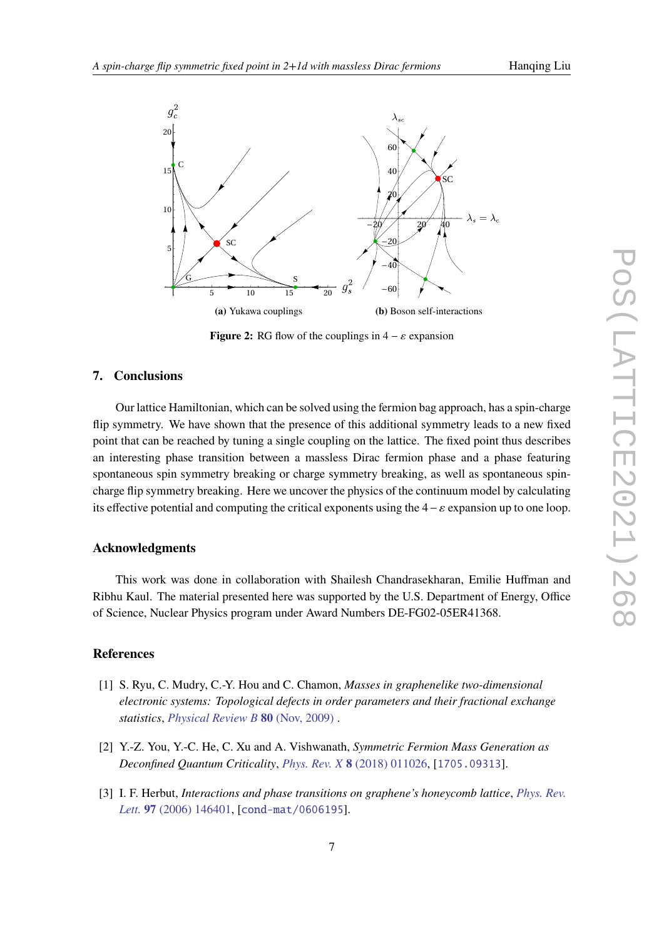<span id="page-6-3"></span>

**Figure 2:** RG flow of the couplings in  $4 - \varepsilon$  expansion

# **7. Conclusions**

Our lattice Hamiltonian, which can be solved using the fermion bag approach, has a spin-charge flip symmetry. We have shown that the presence of this additional symmetry leads to a new fixed point that can be reached by tuning a single coupling on the lattice. The fixed point thus describes an interesting phase transition between a massless Dirac fermion phase and a phase featuring spontaneous spin symmetry breaking or charge symmetry breaking, as well as spontaneous spincharge flip symmetry breaking. Here we uncover the physics of the continuum model by calculating its effective potential and computing the critical exponents using the  $4 − \varepsilon$  expansion up to one loop.

# **Acknowledgments**

This work was done in collaboration with Shailesh Chandrasekharan, Emilie Huffman and Ribhu Kaul. The material presented here was supported by the U.S. Department of Energy, Office of Science, Nuclear Physics program under Award Numbers DE-FG02-05ER41368.

# **References**

- <span id="page-6-0"></span>[1] S. Ryu, C. Mudry, C.-Y. Hou and C. Chamon, *Masses in graphenelike two-dimensional electronic systems: Topological defects in order parameters and their fractional exchange statistics*, *[Physical Review B](http://dx.doi.org/10.1103/physrevb.80.205319)* **80** (Nov, 2009) .
- <span id="page-6-2"></span>[2] Y.-Z. You, Y.-C. He, C. Xu and A. Vishwanath, *Symmetric Fermion Mass Generation as Deconfined Quantum Criticality*, *Phys. Rev. X* **8** [\(2018\) 011026,](http://dx.doi.org/10.1103/PhysRevX.8.011026) [[1705.09313](http://arxiv.org/abs/1705.09313)].
- <span id="page-6-1"></span>[3] I. F. Herbut, *Interactions and phase transitions on graphene's honeycomb lattice*, *[Phys. Rev.](http://dx.doi.org/10.1103/PhysRevLett.97.146401) Lett.* **97** [\(2006\) 146401,](http://dx.doi.org/10.1103/PhysRevLett.97.146401) [[cond-mat/0606195](http://arxiv.org/abs/cond-mat/0606195)].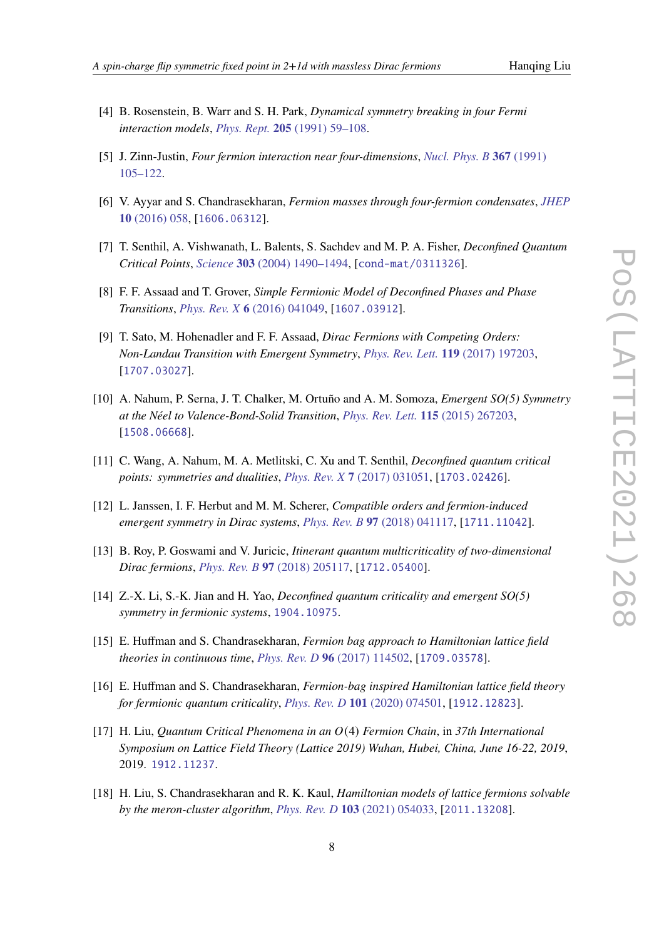- 
- <span id="page-7-0"></span>[4] B. Rosenstein, B. Warr and S. H. Park, *Dynamical symmetry breaking in four Fermi interaction models*, *Phys. Rept.* **205** [\(1991\) 59–108.](http://dx.doi.org/10.1016/0370-1573(91)90129-A)
- [5] J. Zinn-Justin, *Four fermion interaction near four-dimensions*, *[Nucl. Phys. B](http://dx.doi.org/10.1016/0550-3213(91)90043-W)* **367** (1991) [105–122.](http://dx.doi.org/10.1016/0550-3213(91)90043-W)
- <span id="page-7-1"></span>[6] V. Ayyar and S. Chandrasekharan, *Fermion masses through four-fermion condensates*, *[JHEP](http://dx.doi.org/10.1007/JHEP10(2016)058)* **10** [\(2016\) 058,](http://dx.doi.org/10.1007/JHEP10(2016)058) [[1606.06312](http://arxiv.org/abs/1606.06312)].
- <span id="page-7-2"></span>[7] T. Senthil, A. Vishwanath, L. Balents, S. Sachdev and M. P. A. Fisher, *Deconfined Quantum Critical Points*, *Science* **303** [\(2004\) 1490–1494,](http://dx.doi.org/10.1126/science.1091806) [[cond-mat/0311326](http://arxiv.org/abs/cond-mat/0311326)].
- [8] F. F. Assaad and T. Grover, *Simple Fermionic Model of Deconfined Phases and Phase Transitions*, *Phys. Rev. X* **6** [\(2016\) 041049,](http://dx.doi.org/10.1103/PhysRevX.6.041049) [[1607.03912](http://arxiv.org/abs/1607.03912)].
- <span id="page-7-3"></span>[9] T. Sato, M. Hohenadler and F. F. Assaad, *Dirac Fermions with Competing Orders: Non-Landau Transition with Emergent Symmetry*, *[Phys. Rev. Lett.](http://dx.doi.org/10.1103/PhysRevLett.119.197203)* **119** (2017) 197203, [[1707.03027](http://arxiv.org/abs/1707.03027)].
- <span id="page-7-4"></span>[10] A. Nahum, P. Serna, J. T. Chalker, M. Ortuño and A. M. Somoza, *Emergent SO(5) Symmetry at the Néel to Valence-Bond-Solid Transition*, *[Phys. Rev. Lett.](http://dx.doi.org/10.1103/PhysRevLett.115.267203)* **115** (2015) 267203, [[1508.06668](http://arxiv.org/abs/1508.06668)].
- [11] C. Wang, A. Nahum, M. A. Metlitski, C. Xu and T. Senthil, *Deconfined quantum critical points: symmetries and dualities*, *Phys. Rev. X* **7** [\(2017\) 031051,](http://dx.doi.org/10.1103/PhysRevX.7.031051) [[1703.02426](http://arxiv.org/abs/1703.02426)].
- [12] L. Janssen, I. F. Herbut and M. M. Scherer, *Compatible orders and fermion-induced emergent symmetry in Dirac systems*, *Phys. Rev. B* **97** [\(2018\) 041117,](http://dx.doi.org/10.1103/PhysRevB.97.041117) [[1711.11042](http://arxiv.org/abs/1711.11042)].
- [13] B. Roy, P. Goswami and V. Juricic, *Itinerant quantum multicriticality of two-dimensional Dirac fermions*, *Phys. Rev. B* **97** [\(2018\) 205117,](http://dx.doi.org/10.1103/PhysRevB.97.205117) [[1712.05400](http://arxiv.org/abs/1712.05400)].
- <span id="page-7-5"></span>[14] Z.-X. Li, S.-K. Jian and H. Yao, *Deconfined quantum criticality and emergent SO(5) symmetry in fermionic systems*, [1904.10975](http://arxiv.org/abs/1904.10975).
- <span id="page-7-6"></span>[15] E. Huffman and S. Chandrasekharan, *Fermion bag approach to Hamiltonian lattice field theories in continuous time*, *Phys. Rev. D* **96** [\(2017\) 114502,](http://dx.doi.org/10.1103/PhysRevD.96.114502) [[1709.03578](http://arxiv.org/abs/1709.03578)].
- <span id="page-7-7"></span>[16] E. Huffman and S. Chandrasekharan, *Fermion-bag inspired Hamiltonian lattice field theory for fermionic quantum criticality*, *Phys. Rev. D* **101** [\(2020\) 074501,](http://dx.doi.org/10.1103/PhysRevD.101.074501) [[1912.12823](http://arxiv.org/abs/1912.12823)].
- <span id="page-7-8"></span>[17] H. Liu, *Quantum Critical Phenomena in an* (4) *Fermion Chain*, in *37th International Symposium on Lattice Field Theory (Lattice 2019) Wuhan, Hubei, China, June 16-22, 2019*, 2019. [1912.11237](http://arxiv.org/abs/1912.11237).
- <span id="page-7-9"></span>[18] H. Liu, S. Chandrasekharan and R. K. Kaul, *Hamiltonian models of lattice fermions solvable by the meron-cluster algorithm*, *Phys. Rev. D* **103** [\(2021\) 054033,](http://dx.doi.org/10.1103/PhysRevD.103.054033) [[2011.13208](http://arxiv.org/abs/2011.13208)].